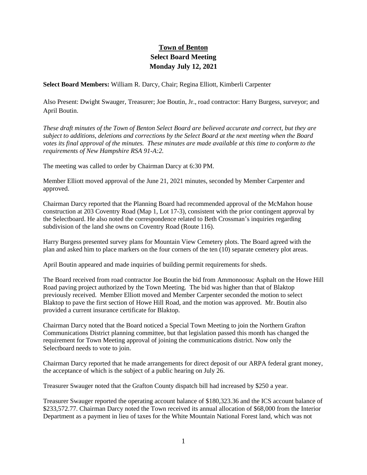## **Town of Benton Select Board Meeting Monday July 12, 2021**

**Select Board Members:** William R. Darcy, Chair; Regina Elliott, Kimberli Carpenter

Also Present: Dwight Swauger, Treasurer; Joe Boutin, Jr., road contractor: Harry Burgess, surveyor; and April Boutin.

*These draft minutes of the Town of Benton Select Board are believed accurate and correct, but they are subject to additions, deletions and corrections by the Select Board at the next meeting when the Board votes its final approval of the minutes. These minutes are made available at this time to conform to the requirements of New Hampshire RSA 91-A:2.*

The meeting was called to order by Chairman Darcy at 6:30 PM.

Member Elliott moved approval of the June 21, 2021 minutes, seconded by Member Carpenter and approved.

Chairman Darcy reported that the Planning Board had recommended approval of the McMahon house construction at 203 Coventry Road (Map 1, Lot 17-3), consistent with the prior contingent approval by the Selectboard. He also noted the correspondence related to Beth Crossman's inquiries regarding subdivision of the land she owns on Coventry Road (Route 116).

Harry Burgess presented survey plans for Mountain View Cemetery plots. The Board agreed with the plan and asked him to place markers on the four corners of the ten (10) separate cemetery plot areas.

April Boutin appeared and made inquiries of building permit requirements for sheds.

The Board received from road contractor Joe Boutin the bid from Ammonoosuc Asphalt on the Howe Hill Road paving project authorized by the Town Meeting. The bid was higher than that of Blaktop previously received. Member Elliott moved and Member Carpenter seconded the motion to select Blaktop to pave the first section of Howe Hill Road, and the motion was approved. Mr. Boutin also provided a current insurance certificate for Blaktop.

Chairman Darcy noted that the Board noticed a Special Town Meeting to join the Northern Grafton Communications District planning committee, but that legislation passed this month has changed the requirement for Town Meeting approval of joining the communications district. Now only the Selectboard needs to vote to join.

Chairman Darcy reported that he made arrangements for direct deposit of our ARPA federal grant money, the acceptance of which is the subject of a public hearing on July 26.

Treasurer Swauger noted that the Grafton County dispatch bill had increased by \$250 a year.

Treasurer Swauger reported the operating account balance of \$180,323.36 and the ICS account balance of \$233,572.77. Chairman Darcy noted the Town received its annual allocation of \$68,000 from the Interior Department as a payment in lieu of taxes for the White Mountain National Forest land, which was not